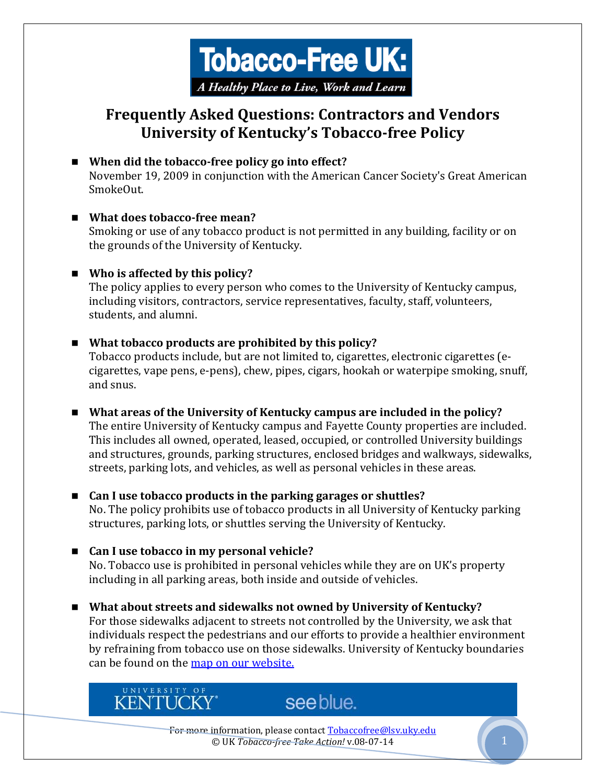

# **Frequently Asked Questions: Contractors and Vendors University of Kentucky's Tobacco-free Policy**

- When did the tobacco-free policy go into effect? November 19, 2009 in conjunction with the American Cancer Society's Great American SmokeOut.
- **What does tobacco-free mean?**  Smoking or use of any tobacco product is not permitted in any building, facility or on the grounds of the University of Kentucky.
- **Who is affected by this policy?**

UNIVERSITY OF

**KENTUCKY**\*

The policy applies to every person who comes to the University of Kentucky campus, including visitors, contractors, service representatives, faculty, staff, volunteers, students, and alumni.

- **What tobacco products are prohibited by this policy?**  Tobacco products include, but are not limited to, cigarettes, electronic cigarettes (ecigarettes, vape pens, e-pens), chew, pipes, cigars, hookah or waterpipe smoking, snuff, and snus.
- **What areas of the University of Kentucky campus are included in the policy?**  The entire University of Kentucky campus and Fayette County properties are included. This includes all owned, operated, leased, occupied, or controlled University buildings and structures, grounds, parking structures, enclosed bridges and walkways, sidewalks, streets, parking lots, and vehicles, as well as personal vehicles in these areas.
- Can I use tobacco products in the parking garages or shuttles? No. The policy prohibits use of tobacco products in all University of Kentucky parking structures, parking lots, or shuttles serving the University of Kentucky.
- Can I use tobacco in my personal vehicle? No. Tobacco use is prohibited in personal vehicles while they are on UK's property including in all parking areas, both inside and outside of vehicles.
- **What about streets and sidewalks not owned by University of Kentucky?**  For those sidewalks adjacent to streets not controlled by the University, we ask that individuals respect the pedestrians and our efforts to provide a healthier environment by refraining from tobacco use on those sidewalks. University of Kentucky boundaries can be found on the [map on our website.](http://www.uky.edu/TobaccoFree/files/map.pdf)

For more information, please contact Tobaccofree@lsv.uky.edu © UK *Tobacco-free Take Action!* v.08-07-14 1

see blue.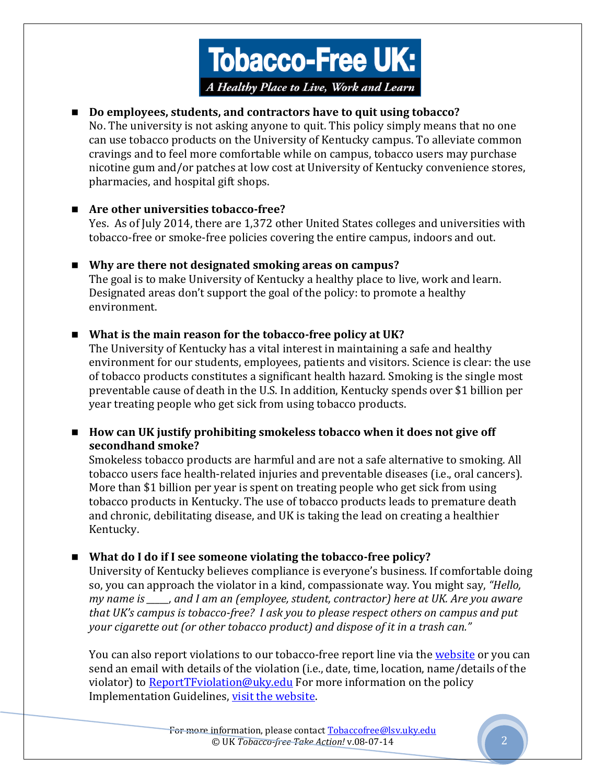

#### **Do employees, students, and contractors have to quit using tobacco?**

No. The university is not asking anyone to quit. This policy simply means that no one can use tobacco products on the University of Kentucky campus. To alleviate common cravings and to feel more comfortable while on campus, tobacco users may purchase nicotine gum and/or patches at low cost at University of Kentucky convenience stores, pharmacies, and hospital gift shops.

#### **Are other universities tobacco-free?**

Yes. As of July 2014, there are 1,372 other United States colleges and universities with tobacco-free or smoke-free policies covering the entire campus, indoors and out.

## **Why are there not designated smoking areas on campus?**

The goal is to make University of Kentucky a healthy place to live, work and learn. Designated areas don't support the goal of the policy: to promote a healthy environment.

## ■ What is the main reason for the tobacco-free policy at UK?

The University of Kentucky has a vital interest in maintaining a safe and healthy environment for our students, employees, patients and visitors. Science is clear: the use of tobacco products constitutes a significant health hazard. Smoking is the single most preventable cause of death in the U.S. In addition, Kentucky spends over \$1 billion per year treating people who get sick from using tobacco products.

## ■ How can UK justify prohibiting smokeless tobacco when it does not give off **secondhand smoke?**

Smokeless tobacco products are harmful and are not a safe alternative to smoking. All tobacco users face health-related injuries and preventable diseases (i.e., oral cancers). More than \$1 billion per year is spent on treating people who get sick from using tobacco products in Kentucky. The use of tobacco products leads to premature death and chronic, debilitating disease, and UK is taking the lead on creating a healthier Kentucky.

## **What do I do if I see someone violating the tobacco-free policy?**

University of Kentucky believes compliance is everyone's business. If comfortable doing so, you can approach the violator in a kind, compassionate way. You might say, *"Hello, my name is \_\_\_\_\_, and I am an (employee, student, contractor) here at UK. Are you aware that UK's campus is tobacco-free? I ask you to please respect others on campus and put your cigarette out (or other tobacco product) and dispose of it in a trash can."*

You can also report violations to our tobacco-free report line via th[e website](http://www.uky.edu/TobaccoFree/report_violations.html) or you can send an email with details of the violation (i.e., date, time, location, name/details of the violator) to [ReportTFviolation@uky.edu](https://exchange.uky.edu/owa/redir.aspx?C=ccc4011c84464e37a6823a0549548e8c&URL=mailto%3aReportTFviolation%40uky.edu) For more information on the policy Implementation Guidelines, [visit the website.](http://www.uky.edu/TobaccoFree/files/guidelines.pdf)